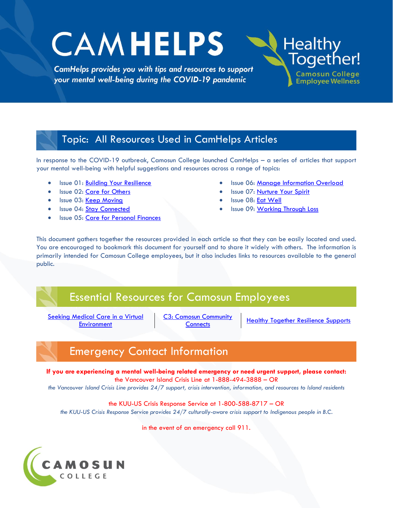# **CAMHELPS**

CamHelps provides you with tips and resources to support your mental well-being during the COVID-19 pandemic

### Topic: All Resources Used in CamHelps Articles

In response to the COVID-19 outbreak, Camosun College launched CamHelps – a series of articles that support your mental well-being with helpful suggestions and resources across a range of topics:

- · Issue 01: [Building Your Resilience](http://camosun.ca/covid19/documents/camhelps/CamHelps-artilce-01-build-your-resilience.pdf)
- Issue 02: [Care for Others](http://camosun.ca/covid19/documents/camhelps/CamHelps-artilce-02-care-for-others.pdf)
- Issue 03: [Keep Moving](http://camosun.ca/covid19/documents/camhelps/CamHelps-article-03-keep-moving.pdf)
- Issue 04: [Stay Connected](http://camosun.ca/covid19/documents/camhelps/CamHelps-article-04-stay-connected.pdf)
- Issue 05: [Care for Personal](http://camosun.ca/covid19/documents/camhelps/CamHelps-article-05-finances.pdf) [Finances](http://camosun.ca/covid19/documents/camhelps/CamHelps-article-05-finances.pdf)

**Issue 06: [Manage Information Overload](http://camosun.ca/covid19/documents/camhelps/CamHelps-article-06-info-overload.pdf)** 

**Healthy** 

Together!

**Camosun College** 

**Employee Wellness** 

- Issue 07: [Nurture Your Spirit](http://camosun.ca/covid19/documents/camhelps/CamHelps-article-07-nurture-your-spirit.pdf)
- Issue 08: [Eat Well](http://camosun.ca/covid19/documents/camhelps/CamHelps-article-08-eat-well.pdf)
- Issue 09: [Working Through Loss](http://camosun.ca/covid19/documents/camhelps/CamHelps-article-09-working-through-loss.pdf)

This document gathers together the resources provided in each article so that they can be easily located and used. You are encouraged to bookmark this document for yourself and to share it widely with others. The information is primarily intended for Camosun College employees, but it also includes links to resources available to the general public.

### Essential Resources for Camosun Employees

<u>.</u><br><u>Seeking Medical Care in a Virtual</u> **[Environment](http://camosun.ca/covid19/documents/camhelps/virtual-medical-services.pdf)** 

[C3: Camosun Community](https://mycamosun.sharepoint.com/sites/CamosunCommunityConnects/SitePages/C3%20Home.aspx) 

**[Connects](https://mycamosun.sharepoint.com/sites/CamosunCommunityConnects/SitePages/C3%20Home.aspx)** [Healthy](http://intranet.camosun.bc.ca/_hr_/documents/TipsforSupervisingRemoteWorkers3-20-2020.pdf) Together Resilience Supports

# Emergency Contact Information

**If you are experiencing a mental well-being related emergency or need urgent support, please contact:** the Vancouver Island Crisis Line at 1-888-494-3888 – OR

*the Vancouver Island Crisis Line provides 24/7 support, crisis intervention, information, and resources to Island residents*

the KUU-US Crisis Response Service at 1-800-588-8717 – OR

*the KUU-US Crisis Response Service provides 24/7 culturally-aware crisis support to Indigenous people in B.C.*

in the event of an emergency call 911.

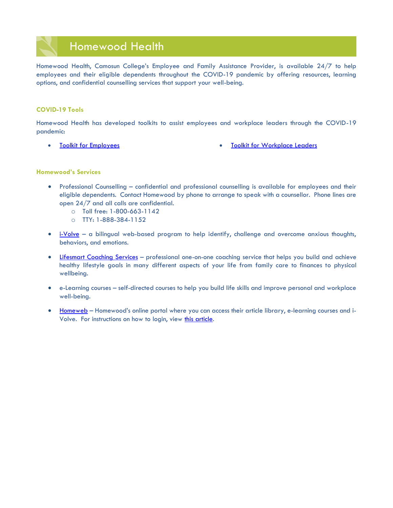### Homewood Health

Homewood Health, Camosun College's Employee and Family Assistance Provider, is available 24/7 to help employees and their eligible dependents throughout the COVID-19 pandemic by offering resources, learning options, and confidential counselling services that support your well-being.

### **COVID-19 Tools**

Homewood Health has developed toolkits to assist employees and workplace leaders through the COVID-19 pandemic:

- 
- [Toolkit for Employees](http://camosun.ca/covid19/documents/toolkit-employees.pdf) [Toolkit for Workplace Leaders](http://camosun.ca/covid19/documents/toolkit-managers.pdf)

### **Homewood's Services**

- Professional Counselling confidential and professional counselling is available for employees and their eligible dependents. Contact Homewood by phone to arrange to speak with a counsellor. Phone lines are open 24/7 and all calls are confidential.
	- o Toll free: 1-800-663-1142
	- o TTY: 1-888-384-1152
- $\bullet$  [i-Volve](http://camosun.ca/covid19/documents/camhelps/hh-iVolve-covid19-postcard.pdf) a bilingual web-based program to help identify, challenge and overcome anxious thoughts, behaviors, and emotions.
- [Lifesmart Coaching Services](http://camosun.ca/covid19/documents/Life-Smart-Services.pdf) professional one-on-one coaching service that helps you build and achieve healthy lifestyle goals in many different aspects of your life from family care to finances to physical wellbeing.
- e-Learning courses self-directed courses to help you build life skills and improve personal and workplace well-being.
- [Homeweb](http://www.homeweb.ca/) Homewood's online portal where you can access their article library, e-learning courses and iVolve. For instructions on how to login, view [this article.](http://camosun.ca/covid19/documents/homewood-login-instructions.pdf)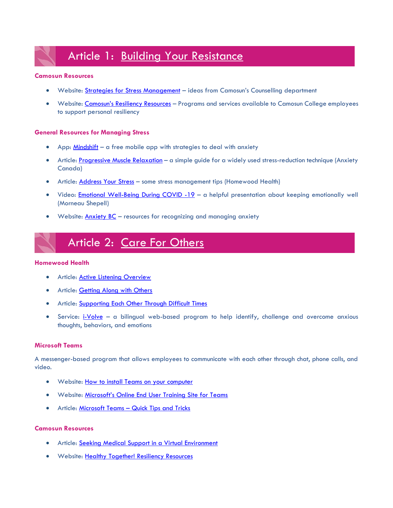# Article 1: [Building Your Resistance](http://camosun.ca/covid19/documents/camhelps/CamHelps-artilce-01-build-your-resilience.pdf)

### **Camosun Resources**

- Website: [Strategies for Stress Management](http://camosun.ca/services/counselling-centre/resources/stress-management.html) ideas from Camosun's Counselling department
- Website: [Camosun's Resiliency Resources](https://hub.camosun.ca/sites/hrlearn/wellness/Pages/Resiliency-Resources.aspx) Programs and services available to Camosun College employees to support personal resiliency

### **General Resources for Managing Stress**

- App: [Mindshift](http://www.anxietybc.com/resources/mindshift-app) a free mobile app with strategies to deal with anxiety
- Article[: Progressive Muscle Relaxation](https://anxietycanada.com/sites/default/files/MuscleRelaxation.pdf) a simple guide for a widely used stress-reduction technique (Anxiety Canada)
- Article: [Address Your Stress](http://www.homewoodlifestyles.com/ArtileDetails.aspx?text_id=5782) some stress management tips (Homewood Health)
- Video: [Emotional Well-Being During COVID -19](https://vimeopro.com/user65099910/emotional-well-being-covid-19) a helpful presentation about keeping emotionally well (Morneau Shepell)
- Website: [Anxiety BC](http://www.anxietybc.com/) resources for recognizing and managing anxiety

# Article 2: [Care For Others](http://camosun.ca/covid19/documents/camhelps/CamHelps-artilce-02-care-for-others.pdf)

### **Homewood Health**

- **•** Article: **Active Listening Overview**
- Article: [Getting Along with Others](http://camosun.ca/covid19/documents/camhelps/hh-getting-along-coworkers.pdf)
- Article: [Supporting Each Other Through Difficult Times](http://camosun.ca/covid19/documents/camhelps/hh-support-difficult-times.pdf)
- Service:  $\frac{1-\text{Volve}}{2}$  a bilingual web-based program to help identify, challenge and overcome anxious thoughts, behaviors, and emotions

### **Microsoft Teams**

A messenger-based program that allows employees to communicate with each other through chat, phone calls, and video.

- Website: [How to install Teams on your computer](http://camosun.ca/employees/remote-work.html)
- Website: [Microsoft's Online End User Training Site for Teams](https://docs.microsoft.com/en-us/microsoftteams/enduser-training)
- Article: Microsoft Teams [Quick Tips and Tricks](http://camosun.ca/covid19/documents/camhelps/teams-tips-tricks.pdf)

### **Camosun Resources**

- Article: [Seeking Medical Support in a Virtual Environment](http://camosun.ca/covid19/documents/camhelps/virtual-medical-services.pdf)
- Website: [Healthy Together! Resiliency Resources](https://hub.camosun.ca/sites/hrlearn/wellness/Pages/Resiliency-Resources.aspx)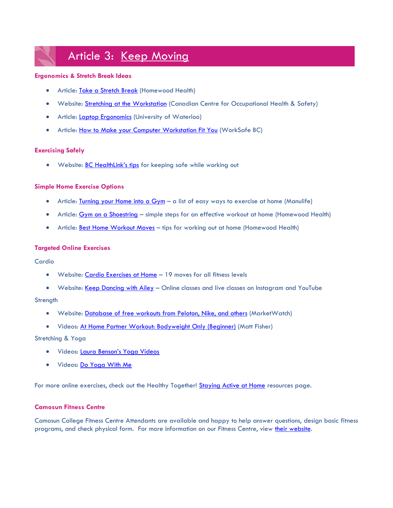# Article 3: [Keep Moving](http://camosun.ca/covid19/documents/camhelps/CamHelps-article-03-keep-moving.pdf)

### **Ergonomics & Stretch Break Ideas**

- Article: [Take a Stretch Break](http://camosun.ca/covid19/documents/camhelps/hh-take-a-stretch-break.pdf) (Homewood Health)
- Website: [Stretching at the Workstation](https://www.ccohs.ca/oshanswers/ergonomics/office/stretching.html) (Canadian Centre for Occupational Health & Safety)
- Article: [Laptop Ergonomics](https://uwaterloo.ca/safety-office/sites/ca.safety-office/files/uploads/files/laptop_ergonomic.pdf) (University of Waterloo)
- Article: [How to Make your Computer Workstation Fit You](http://www.worksafebc.com/en/resources/health-safety/books-guides/how-to-make-your-computer-workstation-fit-you?lang=en) (WorkSafe BC)

### **Exercising Safely**

• Website: **[BC HealthLink's tips](https://www.healthlinkbc.ca/physical-activity/everyone)** for keeping safe while working out

### **Simple Home Exercise Options**

- Article: [Turning your Home into a Gym](https://www.manulife.ca/personal/plan-and-learn/healthy-living/fitness/turn-your-home-into-a-gym.html) a list of easy ways to exercise at home (Manulife)
- Article: **Gym on a Shoestring** simple steps for an effective workout at home (Homewood Health)
- Article: [Best Home Workout Moves](http://camosun.ca/covid19/documents/camhelps/hh-home-workout-moves.pdf) tips for working out at home (Homewood Health)

### **Targeted Online Exercises**

### Cardio

- Website: [Cardio Exercises at Home](https://www.healthline.com/health/cardio-exercises-at-home#beginner) 19 moves for all fitness levels
- Website: [Keep Dancing with Ailey](https://www.aileyextension.com/keepdancing) Online classes and live classes on Instagram and YouTube

### **Strength**

- Website: [Database of free workouts from Peloton, Nike, and others](https://www.marketwatch.com/story/free-workouts-from-peloton-nike-and-others-to-help-you-stay-active-during-your-quarantine-2020-03-27) (MarketWatch)
- Videos: [At Home Partner Workout: Bodyweight Only \(Beginner\)](https://www.instagram.com/p/B93KhUqA5Mp/?igshid=97zga6gwp31e) (Matt Fisher)

### Stretching & Yoga

- Videos: [Laura Benson's Yoga Videos](http://www.laurabensonyoga.com/video.html)
- Videos: [Do Yoga With Me](https://www.doyogawithme.com/)

For more online exercises, check out the Healthy Together! [Staying Active at Home](https://hub.camosun.ca/sites/hrlearn/wellness/Pages/Staying%20Active%20at%20Home.aspx) resources page.

### **Camosun Fitness Centre**

Camosun College Fitness Centre Attendants are available and happy to help answer questions, design basic fitness programs, and check physical form. For more information on our Fitness Centre, view [their website.](http://camosun.ca/sports/fitness-recreation/index.html)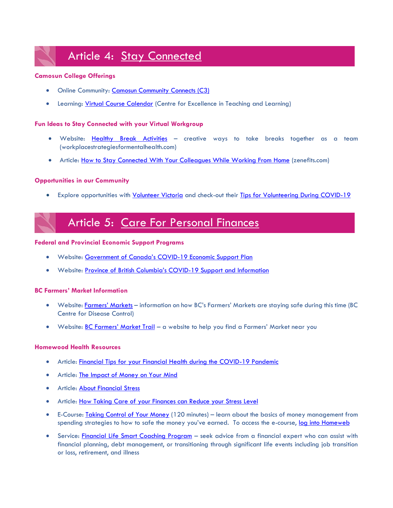# Article 4: [Stay Connected](http://camosun.ca/covid19/documents/camhelps/CamHelps-article-04-stay-connected.pdf)

### **Camosun College Offerings**

- Online Community: [Camosun Community Connects \(C3\)](https://mycamosun.sharepoint.com/sites/CamosunCommunityConnects/SitePages/C3%20Home.aspx)
- Learning: [Virtual Course Calendar](http://camosun.ca/events/?cal=cetl) (Centre for Excellence in Teaching and Learning)

### **Fun Ideas to Stay Connected with your Virtual Workgroup**

- Website: [Healthy Break Activities](https://www.workplacestrategiesformentalhealth.com/employee-resources/healthy-break-activities) creative ways to take breaks together as a team (workplacestrategiesformentalhealth.com)
- Article: [How to Stay Connected With Your Colleagues While Working From Home](https://www.zenefits.com/workest/how-to-stay-connected-with-your-colleagues-while-working-from-home/) (zenefits.com)

### **Opportunities in our Community**

• Explore opportunities with [Volunteer Victoria](https://victoria.volunteerattract.com/) and check-out their [Tips for Volunteering During COVID-19](https://volunteervictoria.bc.ca/wp-content/uploads/2020/03/Volunteering-Infographic-during-COVID-19-Light.pdf)

### Article 5: [Care For Personal Finances](http://camosun.ca/covid19/documents/camhelps/CamHelps-article-05-finances.pdf)

### **Federal and Provincial Economic Support Programs**

- Website: [Government of Canada's COVID](https://www.canada.ca/en/department-finance/news/2020/03/canadas-covid-19-economic-response-plan-support-for-canadians-and-businesses.html)-19 Economic Support Plan
- Website: [Province of British Columbia's COVID](https://www2.gov.bc.ca/gov/content/safety/emergency-preparedness-response-recovery/covid-19-provincial-support)-19 Support and Information

### **BC Farmers' Market Information**

- Website: [Farmers' Markets](http://www.bccdc.ca/health-info/diseases-conditions/covid-19/community-settings/farmers-markets) information on how BC's Farmers' Markets are staying safe during this time (BC Centre for Disease Control)
- Website: **[BC Farmers' Market Trail](https://bcfarmersmarkettrail.com/)** a website to help you find a Farmers' Market near you

### **Homewood Health Resources**

- Article: [Financial Tips for your Financial Health during the COVID-19 Pandemic](http://camosun.ca/covid19/documents/camhelps/5-financial-tips.pdf)
- Article: [The Impact of Money on Your Mind](http://camosun.ca/covid19/documents/camhelps/5-impact-of-money.pdf)
- Article: **About Financial Stress**
- Article: [How Taking Care of your Finances can Reduce your Stress Level](http://camosun.ca/covid19/documents/camhelps/5-taking-care-of-finances.pdf)
- E-Course: [Taking Control of Your Money](http://camosun.ca/covid19/documents/camhelps/5-e-course-control-of-your-money.pdf) (120 minutes) learn about the basics of money management from spending strategies to how to safe the money you've earned. To access the e-course, [log into Homeweb](https://homeweb.ca/courses/565328956c0ca947666caac8)
- Service: [Financial Life Smart Coaching Program](http://camosun.ca/covid19/documents/camhelps/5-financial-consultation.pdf) seek advice from a financial expert who can assist with financial planning, debt management, or transitioning through significant life events including job transition or loss, retirement, and illness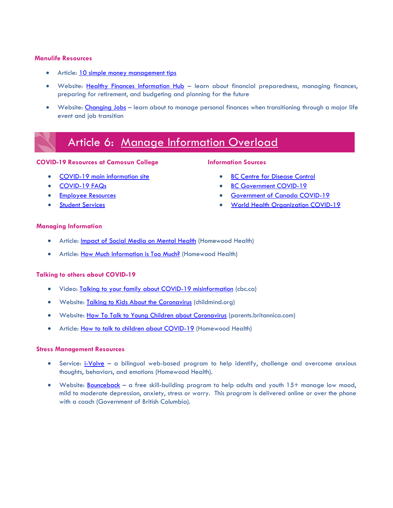### **Manulife Resources**

- Article: [10 simple money management tips](https://www.manulife.ca/personal/plan-and-learn/healthy-finances/financial-planning/ten-simple-money-management-tips.html)
- Website: [Healthy Finances Information Hub](https://www.manulife.ca/personal/plan-and-learn/healthy-finances.html) learn about financial preparedness, managing finances, preparing for retirement, and budgeting and planning for the future
- Website: [Changing Jobs](https://www.manulife.ca/personal/plan-and-learn/life-events/changing-jobs.html) learn about to manage personal finances when transitioning through a major life event and job transition

### Article 6: [Manage Information Overload](http://camosun.ca/covid19/documents/camhelps/CamHelps-article-06-info-overload.pdf)

### **COVID-19 Resources at Camosun College**

- [COVID-19 main information site](http://camosun.ca/covid19/)
- [COVID-19 FAQs](http://camosun.ca/covid19/faq/index.html)
- [Employee Resources](http://camosun.ca/covid19/ncov-employee-resources.html)
- **[Student Services](http://camosun.ca/covid19/ncov-student-services.html)**

### **Information Sources**

- **[BC Centre for Disease Control](http://covid-19.bccdc.ca/)**
- **[BC Government COVID-19](https://www2.gov.bc.ca/gov/content/safety/emergency-preparedness-response-recovery/covid-19-provincial-support)**
- **[Government of Canada COVID-19](https://www.canada.ca/en/public-health/services/diseases/coronavirus-disease-covid-19.html)**
- [World Health Organization COVID-19](https://www.who.int/emergencies/diseases/novel-coronavirus-2019)

### **Managing Information**

- Article: [Impact of Social Media on Mental Health](http://camosun.ca/covid19/documents/camhelps/6-dangers-of-social-media.pdf) (Homewood Health)
- Article: [How Much Information is Too Much?](http://camosun.ca/covid19/documents/camhelps/6-hh-news-anxiety.pdf) (Homewood Health)

### **Talking to others about COVID-19**

- Video: [Talking to your family about COVID-19 misinformation](https://www.cbc.ca/player/play/1724668483622) (cbc.ca)
- Website: [Talking to Kids About the Coronavirus](https://childmind.org/article/talking-to-kids-about-the-coronavirus/) (childmind.org)
- Website: [How To Talk to Young Children about Coronavirus](https://parents.britannica.com/how-to-talk-to-young-children-about-coronavirus/) (parents.britannica.com)
- Article: [How to talk to children about COVID-19](http://camosun.ca/covid19/documents/camhelps/6-hh-how-to-speak-to-children.pdf) (Homewood Health)

### **Stress Management Resources**

- Service: [i-Volve](http://camosun.ca/covid19/documents/camhelps/6-ivolve.pdf) a bilingual web-based program to help identify, challenge and overcome anxious thoughts, behaviors, and emotions (Homewood Health).
- Website: [Bounceback](https://bouncebackbc.ca/what-is-bounceback/) a free skill-building program to help adults and youth 15+ manage low mood, mild to moderate depression, anxiety, stress or worry. This program is delivered online or over the phone with a coach (Government of British Columbia).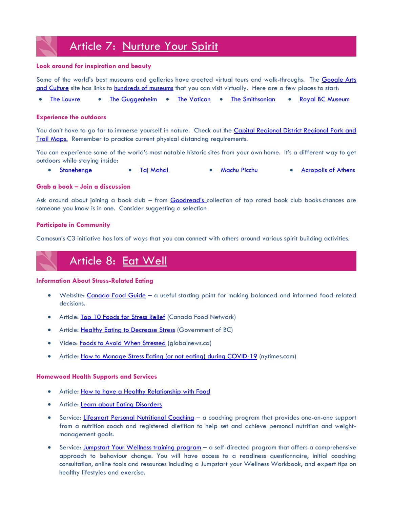# Article 7: [Nurture Your Spirit](http://camosun.ca/covid19/documents/camhelps/CamHelps-article-07-nurture-your-spirit.pdf)

### **Look around for inspiration and beauty**

Some of the world's best museums and galleries have created virtual tours and walk-throughs. The [Google Arts](https://artsandculture.google.com/explore)  [and Culture](https://artsandculture.google.com/explore) site has links to [hundreds of museums](https://artsandculture.google.com/partner) that you can visit virtually. Here are a few places to start:

• [The Louvre](https://www.louvre.fr/en/visites-en-ligne#tabs) • [The Guggenheim](https://www.guggenheim.org/collection-online) • [The Vatican](http://www.museivaticani.va/content/museivaticani/en/collezioni/musei/tour-virtuali-elenco.html) • [The Smithsonian](https://naturalhistory.si.edu/visit/virtual-tour) • [Royal BC](https://royalbcmuseum.bc.ca/engage-us-home?_ga=2.214441887.929698942.1588278988-22416218.1588278988) Museum

### **Experience the outdoors**

You don't have to go far to immerse yourself in nature. Check out the Capital Regional District Regional Park and [Trail Maps.](https://www.crd.bc.ca/parks-recreation-culture/parks-trails/crd-regional-parks/park-maps) Remember to practice current physical distancing requirements.

You can experience some of the world's most notable historic sites from your own home. It's a different way to get outdoors while staying inside:

• [Stonehenge](https://www.english-heritage.org.uk/visit/places/stonehenge/history-and-stories/stonehenge360/#section-1) • [Taj Mahal](http://www.taj-mahal.net/newtaj/) • [Machu Picchu](http://www.peru-machu-picchu.com/map.php) • [Acropolis of Athens](http://acropolis-virtualtour.gr/)

### **Grab a book – Join a discussion**

Ask around about joining a book club – from [Goodread's](https://www.goodreads.com/list/tag/book-club) collection of top rated book club books.chances are someone you know is in one. Consider suggesting a selection

### **Participate in Community**

[Camosun's C3 initiative](https://mycamosun.sharepoint.com/sites/CamosunCommunityConnects/SitePages/C3%20Home.aspx) has lots of ways that you can connect with others around various spirit building activities.

# Article 8: [Eat Well](http://camosun.ca/covid19/documents/camhelps/CamHelps-article-08-eat-well.pdf)

### **Information About Stress-Related Eating**

- Website: [Canada Food Guide](https://food-guide.canada.ca/en/) a useful starting point for making balanced and informed food-related decisions.
- Article: [Top 10 Foods for Stress Relief](https://www.foodnetwork.com/healthy/photos/top-10-foods-for-stress-relief) (Canada Food Network)
- Article: [Healthy Eating to Decrease Stress](https://www.healthlinkbc.ca/health-topics/ta4631) (Government of BC)
- Video: [Foods to Avoid When Stressed](https://globalnews.ca/news/6219483/foods-to-avoid-when-stressed/) (globalnews.ca)
- Article: [How to Manage Stress Eating \(or not eating\) during COVID-19](https://www.nytimes.com/2020/03/25/well/how-to-manage-stress-eating-or-not-eating.html) (nytimes.com)

### **Homewood Health Supports and Services**

- Article: [How to have a Healthy Relationship with Food](http://camosun.ca/covid19/documents/camhelps/Maintain-Healthy-Relationship-with-Food.pdf)
- Article: [Learn about Eating Disorders](http://camosun.ca/covid19/documents/camhelps/Learning-About-Eating-Disorders.pdf)
- Service: [Lifesmart Personal Nutritional](http://camosun.ca/covid19/documents/camhelps/Nutritional-Counselling.pdf) Coaching a coaching program that provides one-on-one support from a nutrition coach and registered dietitian to help set and achieve personal nutrition and weightmanagement goals.
- Service: [Jumpstart Your Wellness training program](http://camosun.ca/covid19/documents/camhelps/Jumpstart-your-wellness.pdf) a self-directed program that offers a comprehensive approach to behaviour change. You will have access to a readiness questionnaire, initial coaching consultation, online tools and resources including a Jumpstart your Wellness Workbook, and expert tips on healthy lifestyles and exercise.